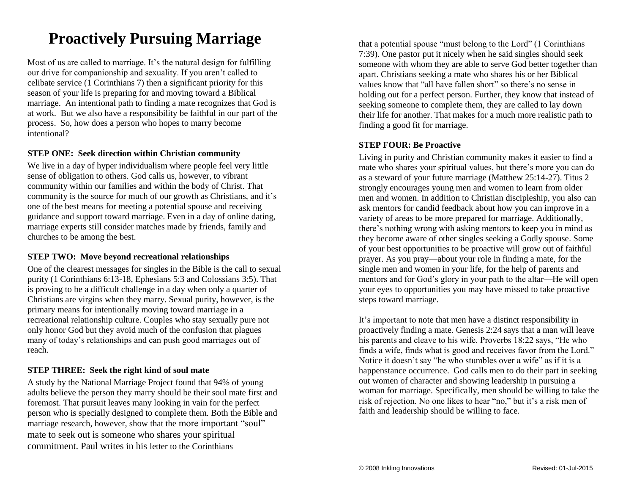## **Proactively Pursuing Marriage**

Most of us are called to marriage. It's the natural design for fulfilling our drive for companionship and sexuality. If you aren't called to celibate service  $(1$  Corinthians 7) then a significant priority for this season of your life is preparing for and moving toward a Biblical marriage. An intentional path to finding a mate recognizes that God is at work. But we also have a responsibility be faithful in our part of the process. So, how does a person who hopes to marry become intentional?

## **STEP ONE: Seek direction within Christian community**

We live in a day of hyper individualism where people feel very little sense of obligation to others. God calls us, however, to vibrant community within our families and within the body of Christ. That community is the source for much of our growth as Christians, and it's one of the best means for meeting a potential spouse and receiving guidance and support toward marriage. Even in a day of online dating, marriage experts still consider matches made by friends, family and churches to be among the best.

### **STEP TWO: Move beyond recreational relationships**

One of the clearest messages for singles in the Bible is the call to sexual purity (1 Corinthians 6:13-18, Ephesians 5:3 and Colossians 3:5). That is proving to be a difficult challenge in a day when only a quarter of Christians are virgins when they marry. Sexual purity, however, is the primary means for intentionally moving toward marriage in a recreational relationship culture. Couples who stay sexually pure not only honor God but they avoid much of the confusion that plagues many of today's relationships and can push good marriages out of reach.

## **STEP THREE: Seek the right kind of soul mate**

A study by the National Marriage Project found that 94% of young adults believe the person they marry should be their soul mate first and foremost. That pursuit leaves many looking in vain for the perfect person who is specially designed to complete them. Both the Bible and marriage research, however, show that the more important "soul" mate to seek out is someone who shares your spiritual commitment. Paul writes in his letter to the Corinthians

that a potential spouse "must belong to the Lord" (1 Corinthians 7:39). One pastor put it nicely when he said singles should seek someone with whom they are able to serve God better together than apart. Christians seeking a mate who shares his or her Biblical values know that "all have fallen short" so there's no sense in holding out for a perfect person. Further, they know that instead of seeking someone to complete them, they are called to lay down their life for another. That makes for a much more realistic path to finding a good fit for marriage.

## **STEP FOUR: Be Proactive**

Living in purity and Christian community makes it easier to find a mate who shares your spiritual values, but there's more you can do as a steward of your future marriage (Matthew 25:14-27). Titus 2 strongly encourages young men and women to learn from older men and women. In addition to Christian discipleship, you also can ask mentors for candid feedback about how you can improve in a variety of areas to be more prepared for marriage. Additionally, there's nothing wrong with asking mentors to keep you in mind as they become aware of other singles seeking a Godly spouse. Some of your best opportunities to be proactive will grow out of faithful prayer. As you pray—about your role in finding a mate, for the single men and women in your life, for the help of parents and mentors and for God's glory in your path to the altar—He will open your eyes to opportunities you may have missed to take proactive steps toward marriage.

It's important to note that men have a distinct responsibility in proactively finding a mate. Genesis 2:24 says that a man will leave his parents and cleave to his wife. Proverbs 18:22 says, "He who finds a wife, finds what is good and receives favor from the Lord." Notice it doesn't say "he who stumbles over a wife" as if it is a happenstance occurrence. God calls men to do their part in seeking out women of character and showing leadership in pursuing a woman for marriage. Specifically, men should be willing to take the risk of rejection. No one likes to hear "no," but it's a risk men of faith and leadership should be willing to face.